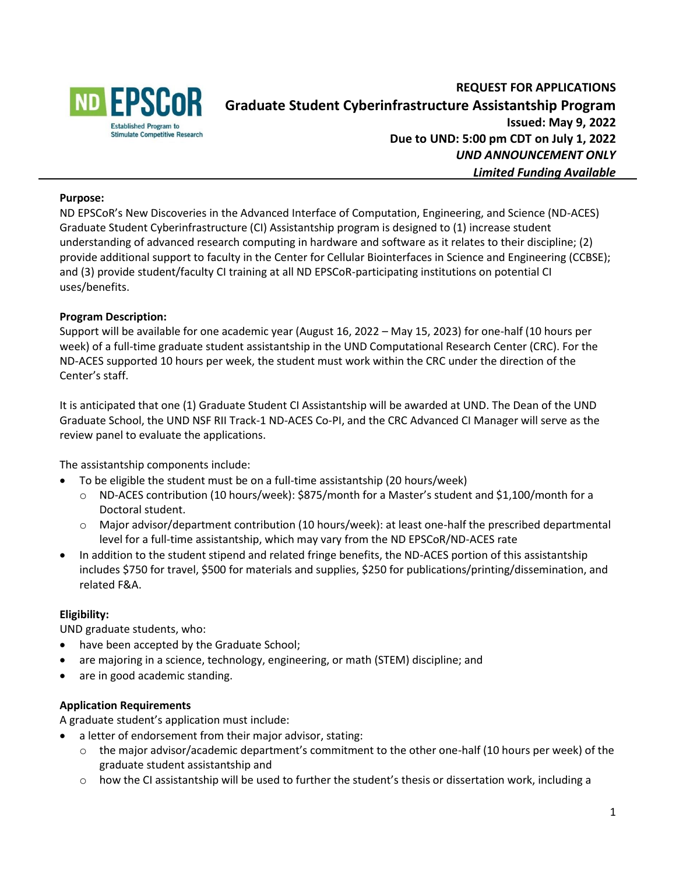

# **REQUEST FOR APPLICATIONS Graduate Student Cyberinfrastructure Assistantship Program Issued: May 9, 2022 Due to UND: 5:00 pm CDT on July 1, 2022** *UND ANNOUNCEMENT ONLY Limited Funding Available*

### **Purpose:**

ND EPSCoR's New Discoveries in the Advanced Interface of Computation, Engineering, and Science (ND-ACES) Graduate Student Cyberinfrastructure (CI) Assistantship program is designed to (1) increase student understanding of advanced research computing in hardware and software as it relates to their discipline; (2) provide additional support to faculty in the Center for Cellular Biointerfaces in Science and Engineering (CCBSE); and (3) provide student/faculty CI training at all ND EPSCoR-participating institutions on potential CI uses/benefits.

## **Program Description:**

Support will be available for one academic year (August 16, 2022 – May 15, 2023) for one-half (10 hours per week) of a full-time graduate student assistantship in the UND Computational Research Center (CRC). For the ND-ACES supported 10 hours per week, the student must work within the CRC under the direction of the Center's staff.

It is anticipated that one (1) Graduate Student CI Assistantship will be awarded at UND. The Dean of the UND Graduate School, the UND NSF RII Track-1 ND-ACES Co-PI, and the CRC Advanced CI Manager will serve as the review panel to evaluate the applications.

The assistantship components include:

- To be eligible the student must be on a full-time assistantship (20 hours/week)
	- o ND-ACES contribution (10 hours/week): \$875/month for a Master's student and \$1,100/month for a Doctoral student.
	- o Major advisor/department contribution (10 hours/week): at least one-half the prescribed departmental level for a full-time assistantship, which may vary from the ND EPSCoR/ND-ACES rate
- In addition to the student stipend and related fringe benefits, the ND-ACES portion of this assistantship includes \$750 for travel, \$500 for materials and supplies, \$250 for publications/printing/dissemination, and related F&A.

### **Eligibility:**

UND graduate students, who:

- have been accepted by the Graduate School;
- are majoring in a science, technology, engineering, or math (STEM) discipline; and
- are in good academic standing.

### **Application Requirements**

A graduate student's application must include:

- a letter of endorsement from their major advisor, stating:
	- $\circ$  the major advisor/academic department's commitment to the other one-half (10 hours per week) of the graduate student assistantship and
	- $\circ$  how the CI assistantship will be used to further the student's thesis or dissertation work, including a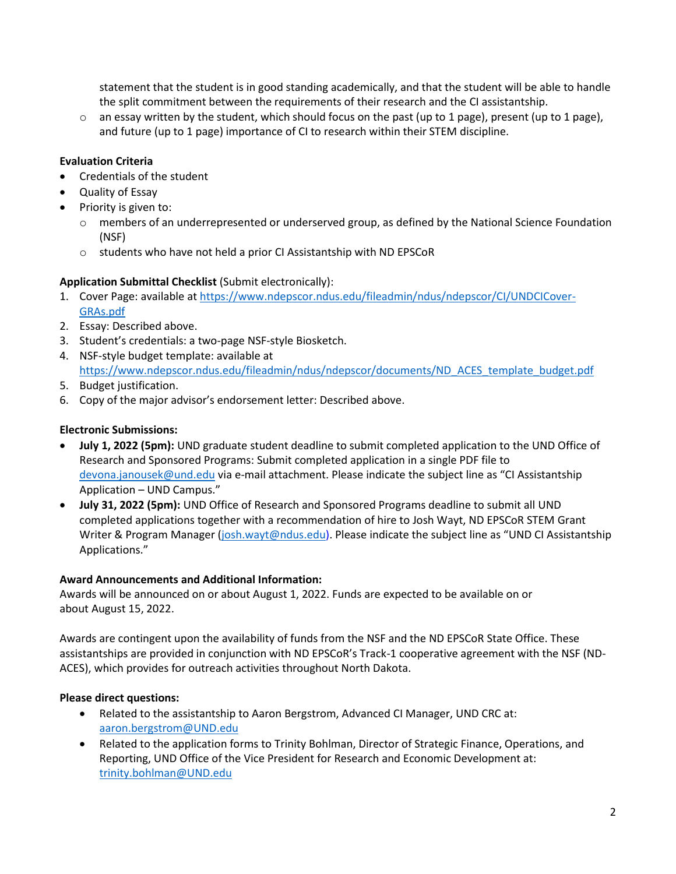statement that the student is in good standing academically, and that the student will be able to handle the split commitment between the requirements of their research and the CI assistantship.

 $\circ$  an essay written by the student, which should focus on the past (up to 1 page), present (up to 1 page), and future (up to 1 page) importance of CI to research within their STEM discipline.

# **Evaluation Criteria**

- Credentials of the student
- Quality of Essay
- Priority is given to:
	- o members of an underrepresented or underserved group, as defined by the National Science Foundation (NSF)
	- o students who have not held a prior CI Assistantship with ND EPSCoR

## **Application Submittal Checklist** (Submit electronically):

- 1. Cover Page: available at [https://www.ndepscor.ndus.edu/fileadmin/ndus/ndepscor/CI/UNDCICover-](https://www.ndepscor.ndus.edu/fileadmin/ndus/ndepscor/CI/UNDCICover-GRAs.pdf)[GRAs.pdf](https://www.ndepscor.ndus.edu/fileadmin/ndus/ndepscor/CI/UNDCICover-GRAs.pdf)
- 2. Essay: Described above.
- 3. Student's credentials: a two-page NSF-style Biosketch.
- 4. NSF-style budget template: available at [https://www.ndepscor.ndus.edu/fileadmin/ndus/ndepscor/documents/ND\\_ACES\\_template\\_budget.pdf](https://www.ndepscor.ndus.edu/fileadmin/ndus/ndepscor/documents/ND_ACES_template_budget.pdf)
- 5. Budget justification.
- 6. Copy of the major advisor's endorsement letter: Described above.

## **Electronic Submissions:**

- **July 1, 2022 (5pm):** UND graduate student deadline to submit completed application to the UND Office of Research and Sponsored Programs: Submit completed application in a single PDF file to [devona.janousek@und.edu](mailto:devona.janousek@und.edu) via e-mail attachment. Please indicate the subject line as "CI Assistantship Application – UND Campus."
- **July 31, 2022 (5pm):** UND Office of Research and Sponsored Programs deadline to submit all UND completed applications together with a recommendation of hire to Josh Wayt, ND EPSCoR STEM Grant Writer & Program Manager [\(josh.wayt@ndus.edu\)](mailto:josh.wayt@ndus.edu). Please indicate the subject line as "UND CI Assistantship Applications."

### **Award Announcements and Additional Information:**

Awards will be announced on or about August 1, 2022. Funds are expected to be available on or about August 15, 2022.

Awards are contingent upon the availability of funds from the NSF and the ND EPSCoR State Office. These assistantships are provided in conjunction with ND EPSCoR's Track-1 cooperative agreement with the NSF (ND-ACES), which provides for outreach activities throughout North Dakota.

# **Please direct questions:**

- Related to the assistantship to Aaron Bergstrom, Advanced CI Manager, UND CRC at: [aaron.bergstrom@UND.edu](mailto:aaron.bergstrom@UND.edu)
- Related to the application forms to Trinity Bohlman, Director of Strategic Finance, Operations, and Reporting, UND Office of the Vice President for Research and Economic Development at: [trinity.bohlman@UND.edu](mailto:trinity.bohlman@UND.edu)